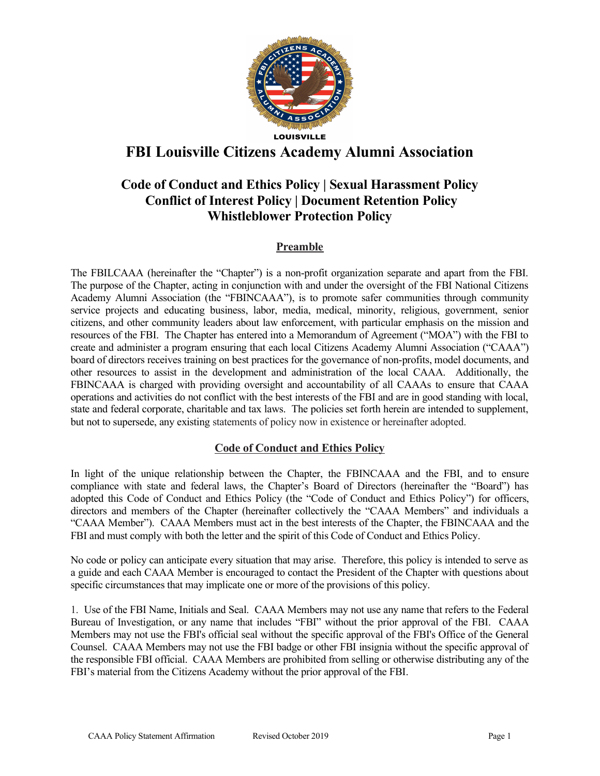

# FBI Louisville Citizens Academy Alumni Association

# Code of Conduct and Ethics Policy | Sexual Harassment Policy Conflict of Interest Policy | Document Retention Policy Whistleblower Protection Policy

# Preamble

The FBILCAAA (hereinafter the "Chapter") is a non-profit organization separate and apart from the FBI. The purpose of the Chapter, acting in conjunction with and under the oversight of the FBI National Citizens Academy Alumni Association (the "FBINCAAA"), is to promote safer communities through community service projects and educating business, labor, media, medical, minority, religious, government, senior citizens, and other community leaders about law enforcement, with particular emphasis on the mission and resources of the FBI. The Chapter has entered into a Memorandum of Agreement ("MOA") with the FBI to create and administer a program ensuring that each local Citizens Academy Alumni Association ("CAAA") board of directors receives training on best practices for the governance of non-profits, model documents, and other resources to assist in the development and administration of the local CAAA. Additionally, the FBINCAAA is charged with providing oversight and accountability of all CAAAs to ensure that CAAA operations and activities do not conflict with the best interests of the FBI and are in good standing with local, state and federal corporate, charitable and tax laws. The policies set forth herein are intended to supplement, but not to supersede, any existing statements of policy now in existence or hereinafter adopted.

## Code of Conduct and Ethics Policy

In light of the unique relationship between the Chapter, the FBINCAAA and the FBI, and to ensure compliance with state and federal laws, the Chapter's Board of Directors (hereinafter the "Board") has adopted this Code of Conduct and Ethics Policy (the "Code of Conduct and Ethics Policy") for officers, directors and members of the Chapter (hereinafter collectively the "CAAA Members" and individuals a "CAAA Member"). CAAA Members must act in the best interests of the Chapter, the FBINCAAA and the FBI and must comply with both the letter and the spirit of this Code of Conduct and Ethics Policy.

No code or policy can anticipate every situation that may arise. Therefore, this policy is intended to serve as a guide and each CAAA Member is encouraged to contact the President of the Chapter with questions about specific circumstances that may implicate one or more of the provisions of this policy.

1. Use of the FBI Name, Initials and Seal. CAAA Members may not use any name that refers to the Federal Bureau of Investigation, or any name that includes "FBI" without the prior approval of the FBI. CAAA Members may not use the FBI's official seal without the specific approval of the FBI's Office of the General Counsel. CAAA Members may not use the FBI badge or other FBI insignia without the specific approval of the responsible FBI official. CAAA Members are prohibited from selling or otherwise distributing any of the FBI's material from the Citizens Academy without the prior approval of the FBI.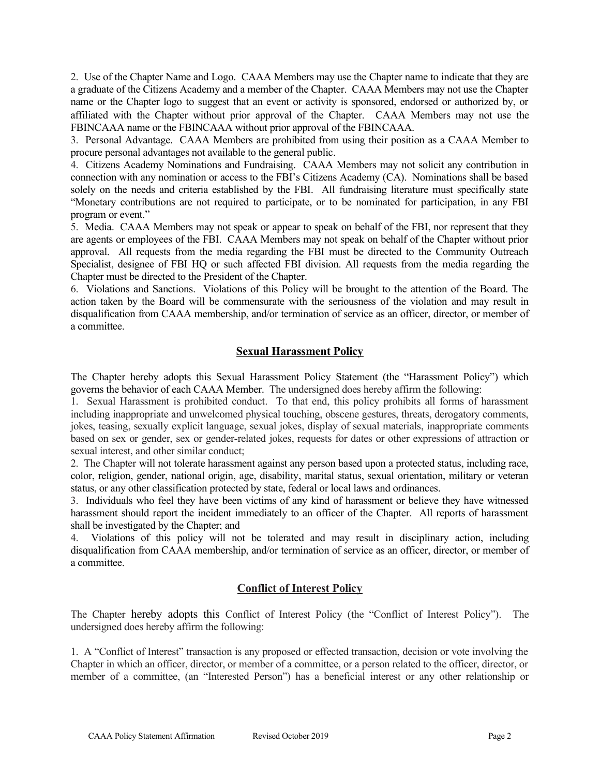2. Use of the Chapter Name and Logo. CAAA Members may use the Chapter name to indicate that they are a graduate of the Citizens Academy and a member of the Chapter. CAAA Members may not use the Chapter name or the Chapter logo to suggest that an event or activity is sponsored, endorsed or authorized by, or affiliated with the Chapter without prior approval of the Chapter. CAAA Members may not use the FBINCAAA name or the FBINCAAA without prior approval of the FBINCAAA.

3. Personal Advantage. CAAA Members are prohibited from using their position as a CAAA Member to procure personal advantages not available to the general public.

4. Citizens Academy Nominations and Fundraising. CAAA Members may not solicit any contribution in connection with any nomination or access to the FBI's Citizens Academy (CA). Nominations shall be based solely on the needs and criteria established by the FBI. All fundraising literature must specifically state "Monetary contributions are not required to participate, or to be nominated for participation, in any FBI program or event."

5. Media. CAAA Members may not speak or appear to speak on behalf of the FBI, nor represent that they are agents or employees of the FBI. CAAA Members may not speak on behalf of the Chapter without prior approval. All requests from the media regarding the FBI must be directed to the Community Outreach Specialist, designee of FBI HQ or such affected FBI division. All requests from the media regarding the Chapter must be directed to the President of the Chapter.

6. Violations and Sanctions. Violations of this Policy will be brought to the attention of the Board. The action taken by the Board will be commensurate with the seriousness of the violation and may result in disqualification from CAAA membership, and/or termination of service as an officer, director, or member of a committee.

### **Sexual Harassment Policy**

The Chapter hereby adopts this Sexual Harassment Policy Statement (the "Harassment Policy") which governs the behavior of each CAAA Member. The undersigned does hereby affirm the following:

1. Sexual Harassment is prohibited conduct. To that end, this policy prohibits all forms of harassment including inappropriate and unwelcomed physical touching, obscene gestures, threats, derogatory comments, jokes, teasing, sexually explicit language, sexual jokes, display of sexual materials, inappropriate comments based on sex or gender, sex or gender-related jokes, requests for dates or other expressions of attraction or sexual interest, and other similar conduct;

2. The Chapter will not tolerate harassment against any person based upon a protected status, including race, color, religion, gender, national origin, age, disability, marital status, sexual orientation, military or veteran status, or any other classification protected by state, federal or local laws and ordinances.

3. Individuals who feel they have been victims of any kind of harassment or believe they have witnessed harassment should report the incident immediately to an officer of the Chapter. All reports of harassment shall be investigated by the Chapter; and

4. Violations of this policy will not be tolerated and may result in disciplinary action, including disqualification from CAAA membership, and/or termination of service as an officer, director, or member of a committee.

### Conflict of Interest Policy

The Chapter hereby adopts this Conflict of Interest Policy (the "Conflict of Interest Policy"). The undersigned does hereby affirm the following:

1. A "Conflict of Interest" transaction is any proposed or effected transaction, decision or vote involving the Chapter in which an officer, director, or member of a committee, or a person related to the officer, director, or member of a committee, (an "Interested Person") has a beneficial interest or any other relationship or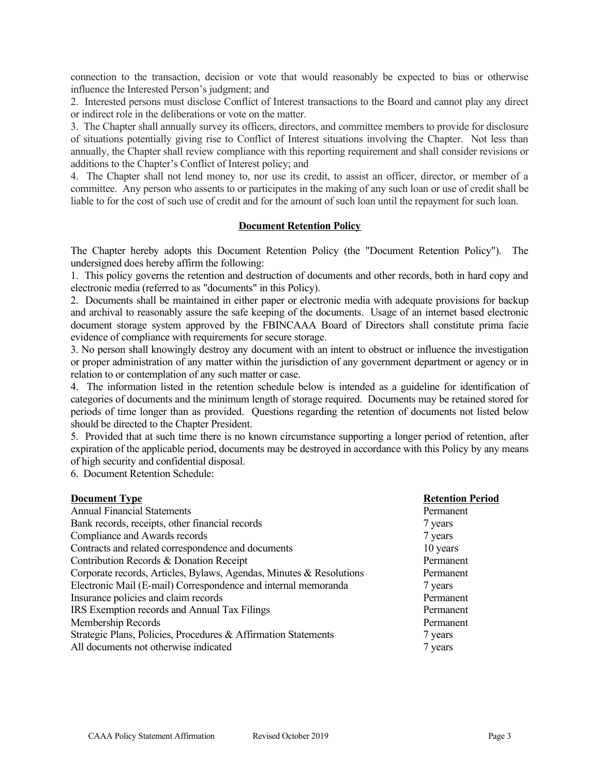connection to the transaction, decision or vote that would reasonably be expected to bias or otherwise influence the Interested Person's judgment; and

2. Interested persons must disclose Conflict of Interest transactions to the Board and cannot play any direct or indirect role in the deliberations or vote on the matter.

3. The Chapter shall annually survey its officers, directors, and committee members to provide for disclosure of situations potentially giving rise to Conflict of Interest situations involving the Chapter. Not less than annually, the Chapter shall review compliance with this reporting requirement and shall consider revisions or additions to the Chapter's Conflict of Interest policy; and

4. The Chapter shall not lend money to, nor use its credit, to assist an officer, director, or member of a committee. Any person who assents to or participates in the making of any such loan or use of credit shall be liable to for the cost of such use of credit and for the amount of such loan until the repayment for such loan.

#### Document Retention Policy

The Chapter hereby adopts this Document Retention Policy (the "Document Retention Policy"). The undersigned does hereby affirm the following:

1. This policy governs the retention and destruction of documents and other records, both in hard copy and electronic media (referred to as "documents" in this Policy).

2. Documents shall be maintained in either paper or electronic media with adequate provisions for backup and archival to reasonably assure the safe keeping of the documents. Usage of an internet based electronic document storage system approved by the FBINCAAA Board of Directors shall constitute prima facie evidence of compliance with requirements for secure storage.

3. No person shall knowingly destroy any document with an intent to obstruct or influence the investigation or proper administration of any matter within the jurisdiction of any government department or agency or in relation to or contemplation of any such matter or case.

4. The information listed in the retention schedule below is intended as a guideline for identification of categories of documents and the minimum length of storage required. Documents may be retained stored for periods of time longer than as provided. Questions regarding the retention of documents not listed below should be directed to the Chapter President.

5. Provided that at such time there is no known circumstance supporting a longer period of retention, after expiration of the applicable period, documents may be destroyed in accordance with this Policy by any means of high security and confidential disposal.

6. Document Retention Schedule:

| <b>Document Type</b>                                                | <b>Retention Period</b> |
|---------------------------------------------------------------------|-------------------------|
| <b>Annual Financial Statements</b>                                  | Permanent               |
| Bank records, receipts, other financial records                     | 7 years                 |
| Compliance and Awards records                                       | 7 years                 |
| Contracts and related correspondence and documents                  | 10 years                |
| Contribution Records & Donation Receipt                             | Permanent               |
| Corporate records, Articles, Bylaws, Agendas, Minutes & Resolutions | Permanent               |
| Electronic Mail (E-mail) Correspondence and internal memoranda      | 7 years                 |
| Insurance policies and claim records                                | Permanent               |
| IRS Exemption records and Annual Tax Filings                        | Permanent               |
| Membership Records                                                  | Permanent               |
| Strategic Plans, Policies, Procedures & Affirmation Statements      | 7 years                 |
| All documents not otherwise indicated                               | 7 years                 |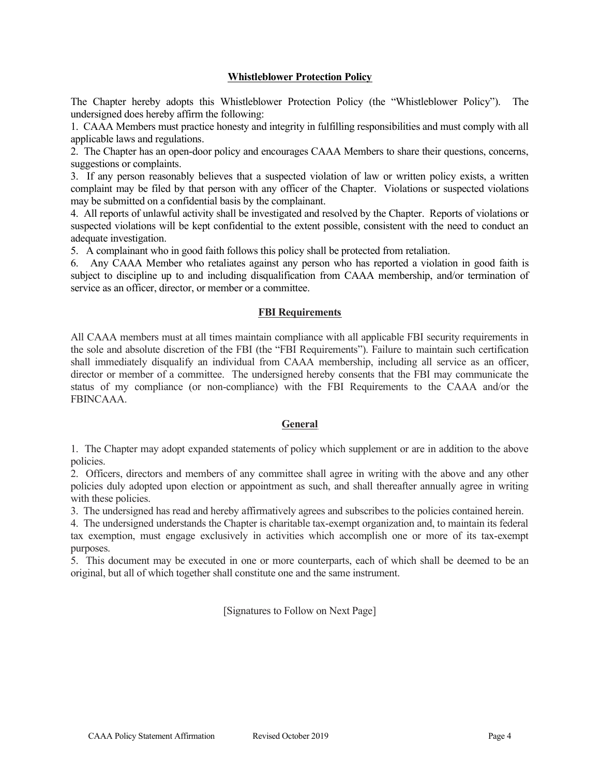#### Whistleblower Protection Policy

The Chapter hereby adopts this Whistleblower Protection Policy (the "Whistleblower Policy"). The undersigned does hereby affirm the following:

1. CAAA Members must practice honesty and integrity in fulfilling responsibilities and must comply with all applicable laws and regulations.

2. The Chapter has an open-door policy and encourages CAAA Members to share their questions, concerns, suggestions or complaints.

3. If any person reasonably believes that a suspected violation of law or written policy exists, a written complaint may be filed by that person with any officer of the Chapter. Violations or suspected violations may be submitted on a confidential basis by the complainant.

4. All reports of unlawful activity shall be investigated and resolved by the Chapter. Reports of violations or suspected violations will be kept confidential to the extent possible, consistent with the need to conduct an adequate investigation.

5. A complainant who in good faith follows this policy shall be protected from retaliation.

6. Any CAAA Member who retaliates against any person who has reported a violation in good faith is subject to discipline up to and including disqualification from CAAA membership, and/or termination of service as an officer, director, or member or a committee.

#### FBI Requirements

All CAAA members must at all times maintain compliance with all applicable FBI security requirements in the sole and absolute discretion of the FBI (the "FBI Requirements"). Failure to maintain such certification shall immediately disqualify an individual from CAAA membership, including all service as an officer, director or member of a committee. The undersigned hereby consents that the FBI may communicate the status of my compliance (or non-compliance) with the FBI Requirements to the CAAA and/or the FBINCAAA.

#### General

1. The Chapter may adopt expanded statements of policy which supplement or are in addition to the above policies.

2. Officers, directors and members of any committee shall agree in writing with the above and any other policies duly adopted upon election or appointment as such, and shall thereafter annually agree in writing with these policies.

3. The undersigned has read and hereby affirmatively agrees and subscribes to the policies contained herein.

4. The undersigned understands the Chapter is charitable tax-exempt organization and, to maintain its federal tax exemption, must engage exclusively in activities which accomplish one or more of its tax-exempt purposes.

5. This document may be executed in one or more counterparts, each of which shall be deemed to be an original, but all of which together shall constitute one and the same instrument.

[Signatures to Follow on Next Page]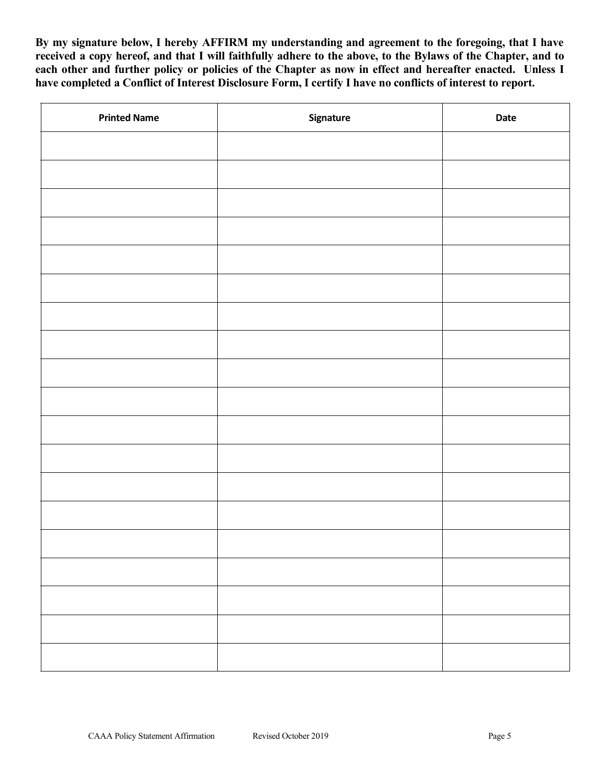By my signature below, I hereby AFFIRM my understanding and agreement to the foregoing, that I have received a copy hereof, and that I will faithfully adhere to the above, to the Bylaws of the Chapter, and to each other and further policy or policies of the Chapter as now in effect and hereafter enacted. Unless I have completed a Conflict of Interest Disclosure Form, I certify I have no conflicts of interest to report.

| <b>Printed Name</b> | Signature | Date |  |
|---------------------|-----------|------|--|
|                     |           |      |  |
|                     |           |      |  |
|                     |           |      |  |
|                     |           |      |  |
|                     |           |      |  |
|                     |           |      |  |
|                     |           |      |  |
|                     |           |      |  |
|                     |           |      |  |
|                     |           |      |  |
|                     |           |      |  |
|                     |           |      |  |
|                     |           |      |  |
|                     |           |      |  |
|                     |           |      |  |
|                     |           |      |  |
|                     |           |      |  |
|                     |           |      |  |
|                     |           |      |  |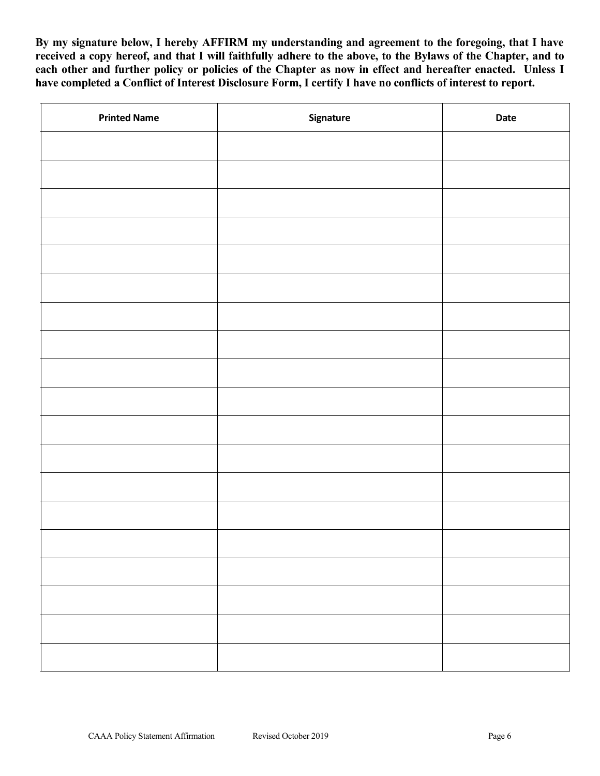By my signature below, I hereby AFFIRM my understanding and agreement to the foregoing, that I have received a copy hereof, and that I will faithfully adhere to the above, to the Bylaws of the Chapter, and to each other and further policy or policies of the Chapter as now in effect and hereafter enacted. Unless I have completed a Conflict of Interest Disclosure Form, I certify I have no conflicts of interest to report.

| <b>Printed Name</b> | Signature | Date |  |
|---------------------|-----------|------|--|
|                     |           |      |  |
|                     |           |      |  |
|                     |           |      |  |
|                     |           |      |  |
|                     |           |      |  |
|                     |           |      |  |
|                     |           |      |  |
|                     |           |      |  |
|                     |           |      |  |
|                     |           |      |  |
|                     |           |      |  |
|                     |           |      |  |
|                     |           |      |  |
|                     |           |      |  |
|                     |           |      |  |
|                     |           |      |  |
|                     |           |      |  |
|                     |           |      |  |
|                     |           |      |  |